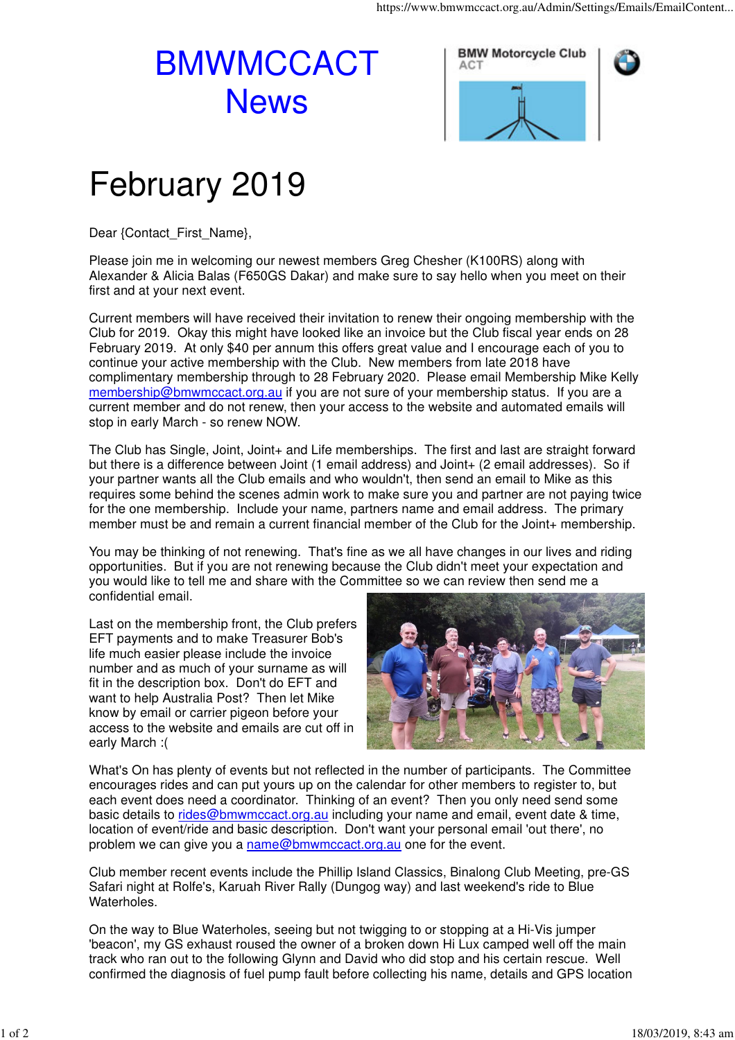## BMWMCCACT **News**





## February 2019

Dear {Contact\_First\_Name},

Please join me in welcoming our newest members Greg Chesher (K100RS) along with Alexander & Alicia Balas (F650GS Dakar) and make sure to say hello when you meet on their first and at your next event.

Current members will have received their invitation to renew their ongoing membership with the Club for 2019. Okay this might have looked like an invoice but the Club fiscal year ends on 28 February 2019. At only \$40 per annum this offers great value and I encourage each of you to continue your active membership with the Club. New members from late 2018 have complimentary membership through to 28 February 2020. Please email Membership Mike Kelly membership@bmwmccact.org.au if you are not sure of your membership status. If you are a current member and do not renew, then your access to the website and automated emails will stop in early March - so renew NOW.

The Club has Single, Joint, Joint+ and Life memberships. The first and last are straight forward but there is a difference between Joint (1 email address) and Joint+ (2 email addresses). So if your partner wants all the Club emails and who wouldn't, then send an email to Mike as this requires some behind the scenes admin work to make sure you and partner are not paying twice for the one membership. Include your name, partners name and email address. The primary member must be and remain a current financial member of the Club for the Joint+ membership.

You may be thinking of not renewing. That's fine as we all have changes in our lives and riding opportunities. But if you are not renewing because the Club didn't meet your expectation and you would like to tell me and share with the Committee so we can review then send me a confidential email.

Last on the membership front, the Club prefers EFT payments and to make Treasurer Bob's life much easier please include the invoice number and as much of your surname as will fit in the description box. Don't do EFT and want to help Australia Post? Then let Mike know by email or carrier pigeon before your access to the website and emails are cut off in early March :(



What's On has plenty of events but not reflected in the number of participants. The Committee encourages rides and can put yours up on the calendar for other members to register to, but each event does need a coordinator. Thinking of an event? Then you only need send some basic details to rides@bmwmccact.org.au including your name and email, event date & time, location of event/ride and basic description. Don't want your personal email 'out there', no problem we can give you a name@bmwmccact.org.au one for the event.

Club member recent events include the Phillip Island Classics, Binalong Club Meeting, pre-GS Safari night at Rolfe's, Karuah River Rally (Dungog way) and last weekend's ride to Blue Waterholes.

On the way to Blue Waterholes, seeing but not twigging to or stopping at a Hi-Vis jumper 'beacon', my GS exhaust roused the owner of a broken down Hi Lux camped well off the main track who ran out to the following Glynn and David who did stop and his certain rescue. Well confirmed the diagnosis of fuel pump fault before collecting his name, details and GPS location